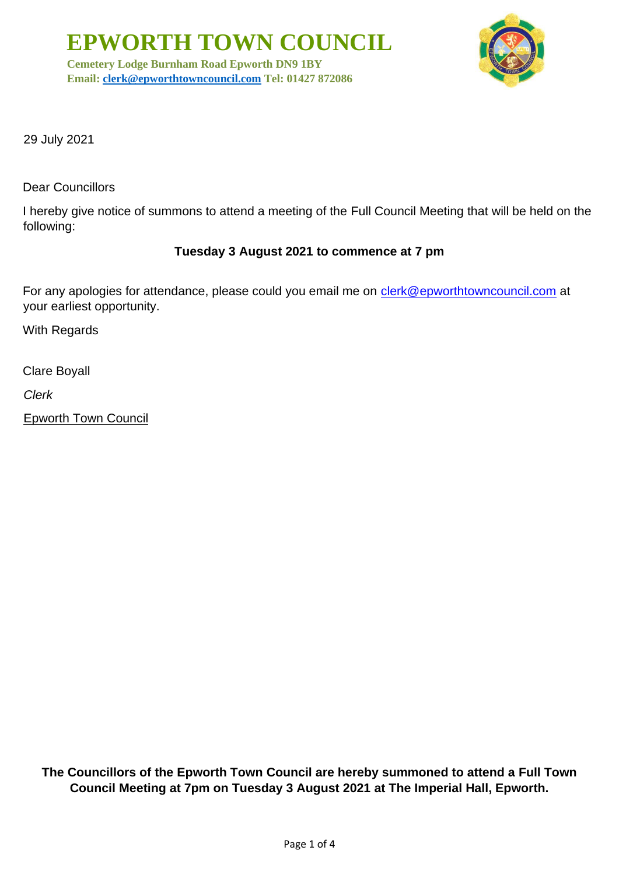**EPWORTH TOWN COUNCIL**

**Cemetery Lodge Burnham Road Epworth DN9 1BY Email: [clerk@epworthtowncouncil.com](mailto:clerk@epworthtowncouncil.com) Tel: 01427 872086**



29 July 2021

Dear Councillors

I hereby give notice of summons to attend a meeting of the Full Council Meeting that will be held on the following:

## **Tuesday 3 August 2021 to commence at 7 pm**

For any apologies for attendance, please could you email me on clerk@epworthtowncouncil.com at your earliest opportunity.

With Regards

Clare Boyall

*Clerk*

Epworth Town Council

**The Councillors of the Epworth Town Council are hereby summoned to attend a Full Town Council Meeting at 7pm on Tuesday 3 August 2021 at The Imperial Hall, Epworth.**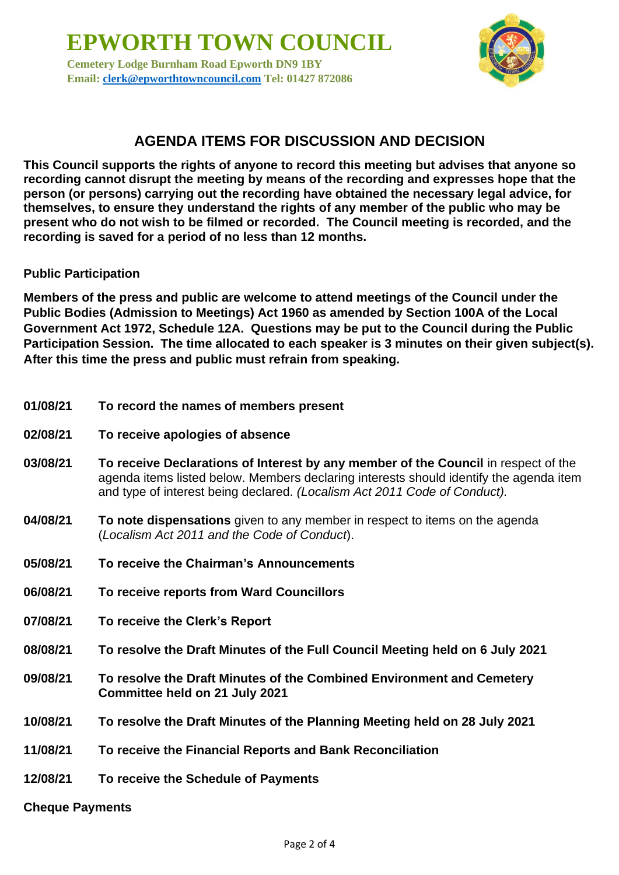**EPWORTH TOWN COUNCIL Cemetery Lodge Burnham Road Epworth DN9 1BY Email: [clerk@epworthtowncouncil.com](mailto:clerk@epworthtowncouncil.com) Tel: 01427 872086**



# **AGENDA ITEMS FOR DISCUSSION AND DECISION**

**This Council supports the rights of anyone to record this meeting but advises that anyone so recording cannot disrupt the meeting by means of the recording and expresses hope that the person (or persons) carrying out the recording have obtained the necessary legal advice, for themselves, to ensure they understand the rights of any member of the public who may be present who do not wish to be filmed or recorded. The Council meeting is recorded, and the recording is saved for a period of no less than 12 months.**

### **Public Participation**

**Members of the press and public are welcome to attend meetings of the Council under the Public Bodies (Admission to Meetings) Act 1960 as amended by Section 100A of the Local Government Act 1972, Schedule 12A. Questions may be put to the Council during the Public Participation Session. The time allocated to each speaker is 3 minutes on their given subject(s). After this time the press and public must refrain from speaking.**

- **01/08/21 To record the names of members present**
- **02/08/21 To receive apologies of absence**
- **03/08/21 To receive Declarations of Interest by any member of the Council** in respect of the agenda items listed below. Members declaring interests should identify the agenda item and type of interest being declared. *(Localism Act 2011 Code of Conduct).*
- **04/08/21 To note dispensations** given to any member in respect to items on the agenda (*Localism Act 2011 and the Code of Conduct*).
- **05/08/21 To receive the Chairman's Announcements**
- **06/08/21 To receive reports from Ward Councillors**
- **07/08/21 To receive the Clerk's Report**
- **08/08/21 To resolve the Draft Minutes of the Full Council Meeting held on 6 July 2021**
- **09/08/21 To resolve the Draft Minutes of the Combined Environment and Cemetery Committee held on 21 July 2021**
- **10/08/21 To resolve the Draft Minutes of the Planning Meeting held on 28 July 2021**
- **11/08/21 To receive the Financial Reports and Bank Reconciliation**
- **12/08/21 To receive the Schedule of Payments**
- **Cheque Payments**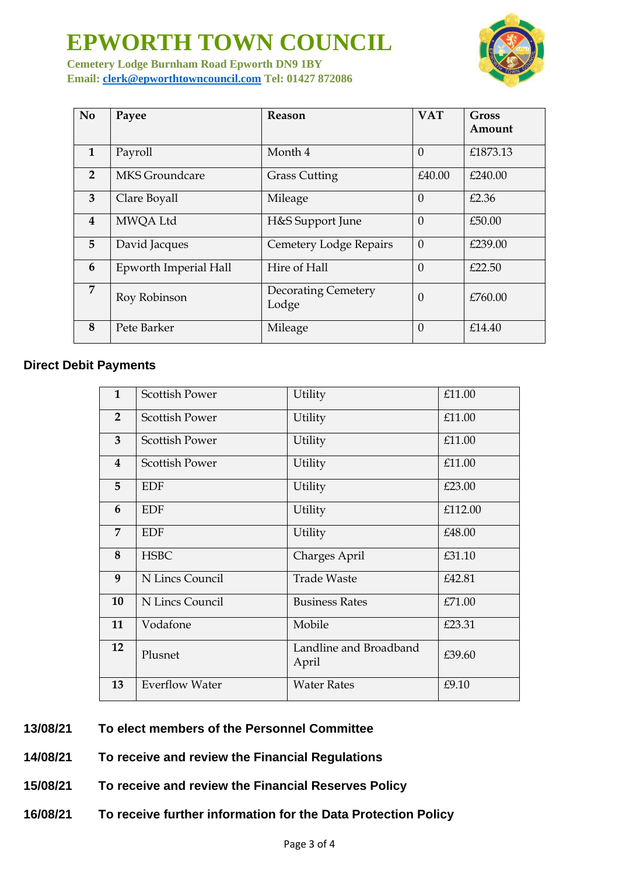# **EPWORTH TOWN COUNCIL**



**Cemetery Lodge Burnham Road Epworth DN9 1BY Email: [clerk@epworthtowncouncil.com](mailto:clerk@epworthtowncouncil.com) Tel: 01427 872086**

| N <sub>o</sub>          | Payee                 | <b>Reason</b>                       | <b>VAT</b> | Gross<br>Amount |
|-------------------------|-----------------------|-------------------------------------|------------|-----------------|
| $\mathbf{1}$            | Payroll               | Month 4                             | $\Omega$   | £1873.13        |
| $\overline{2}$          | MKS Groundcare        | <b>Grass Cutting</b>                | £40.00     | £240.00         |
| 3                       | Clare Boyall          | Mileage                             | $\theta$   | £2.36           |
| $\overline{\mathbf{4}}$ | MWQA Ltd              | H&S Support June                    | $\Omega$   | £50.00          |
| 5                       | David Jacques         | Cemetery Lodge Repairs              | $\theta$   | £239.00         |
| 6                       | Epworth Imperial Hall | Hire of Hall                        | $\theta$   | £22.50          |
| $\overline{7}$          | Roy Robinson          | <b>Decorating Cemetery</b><br>Lodge | $\Omega$   | £760.00         |
| 8                       | Pete Barker           | Mileage                             | $\Omega$   | £14.40          |

### **Direct Debit Payments**

| $\mathbf{1}$            | <b>Scottish Power</b> | Utility                         | £11.00  |
|-------------------------|-----------------------|---------------------------------|---------|
| $\overline{2}$          | <b>Scottish Power</b> | Utility                         | £11.00  |
| $\overline{3}$          | <b>Scottish Power</b> | Utility                         | £11.00  |
| $\overline{\mathbf{4}}$ | <b>Scottish Power</b> | Utility                         | £11.00  |
| 5                       | <b>EDF</b>            | Utility                         | £23.00  |
| 6                       | <b>EDF</b>            | Utility                         | £112.00 |
| $\overline{7}$          | <b>EDF</b>            | Utility                         | £48.00  |
| 8                       | <b>HSBC</b>           | Charges April                   | £31.10  |
| 9                       | N Lincs Council       | <b>Trade Waste</b>              | £42.81  |
| 10                      | N Lincs Council       | <b>Business Rates</b>           | £71.00  |
| 11                      | Vodafone              | Mobile                          | £23.31  |
| 12                      | Plusnet               | Landline and Broadband<br>April | £39.60  |
| 13                      | <b>Everflow Water</b> | <b>Water Rates</b>              | £9.10   |

### **13/08/21 To elect members of the Personnel Committee**

**14/08/21 To receive and review the Financial Regulations**

- **15/08/21 To receive and review the Financial Reserves Policy**
- **16/08/21 To receive further information for the Data Protection Policy**